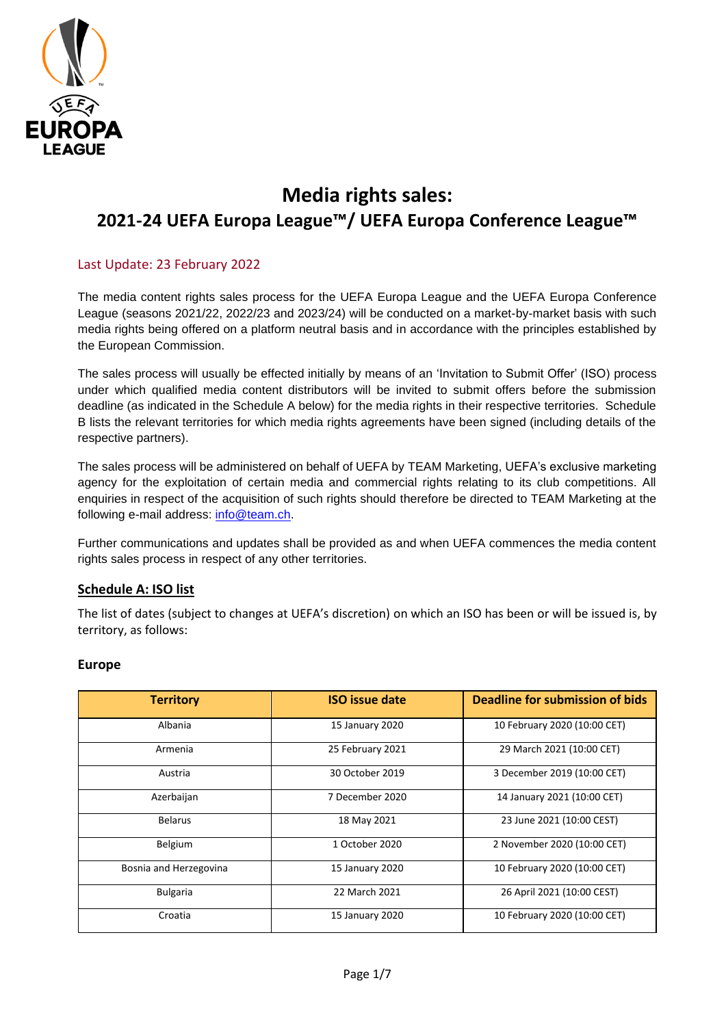

# **Media rights sales: 2021-24 UEFA Europa League™/ UEFA Europa Conference League™**

## Last Update: 23 February 2022

The media content rights sales process for the UEFA Europa League and the UEFA Europa Conference League (seasons 2021/22, 2022/23 and 2023/24) will be conducted on a market-by-market basis with such media rights being offered on a platform neutral basis and in accordance with the principles established by the European Commission.

The sales process will usually be effected initially by means of an 'Invitation to Submit Offer' (ISO) process under which qualified media content distributors will be invited to submit offers before the submission deadline (as indicated in the Schedule A below) for the media rights in their respective territories. Schedule B lists the relevant territories for which media rights agreements have been signed (including details of the respective partners).

The sales process will be administered on behalf of UEFA by TEAM Marketing, UEFA's exclusive marketing agency for the exploitation of certain media and commercial rights relating to its club competitions. All enquiries in respect of the acquisition of such rights should therefore be directed to TEAM Marketing at the following e-mail address: [info@team.ch.](mailto:info@team.ch)

Further communications and updates shall be provided as and when UEFA commences the media content rights sales process in respect of any other territories.

### **Schedule A: ISO list**

The list of dates (subject to changes at UEFA's discretion) on which an ISO has been or will be issued is, by territory, as follows:

#### **Europe**

| <b>Territory</b>       | <b>ISO</b> issue date | Deadline for submission of bids |
|------------------------|-----------------------|---------------------------------|
| Albania                | 15 January 2020       | 10 February 2020 (10:00 CET)    |
| Armenia                | 25 February 2021      | 29 March 2021 (10:00 CET)       |
| Austria                | 30 October 2019       | 3 December 2019 (10:00 CET)     |
| Azerbaijan             | 7 December 2020       | 14 January 2021 (10:00 CET)     |
| <b>Belarus</b>         | 18 May 2021           | 23 June 2021 (10:00 CEST)       |
| Belgium                | 1 October 2020        | 2 November 2020 (10:00 CET)     |
| Bosnia and Herzegovina | 15 January 2020       | 10 February 2020 (10:00 CET)    |
| <b>Bulgaria</b>        | 22 March 2021         | 26 April 2021 (10:00 CEST)      |
| Croatia                | 15 January 2020       | 10 February 2020 (10:00 CET)    |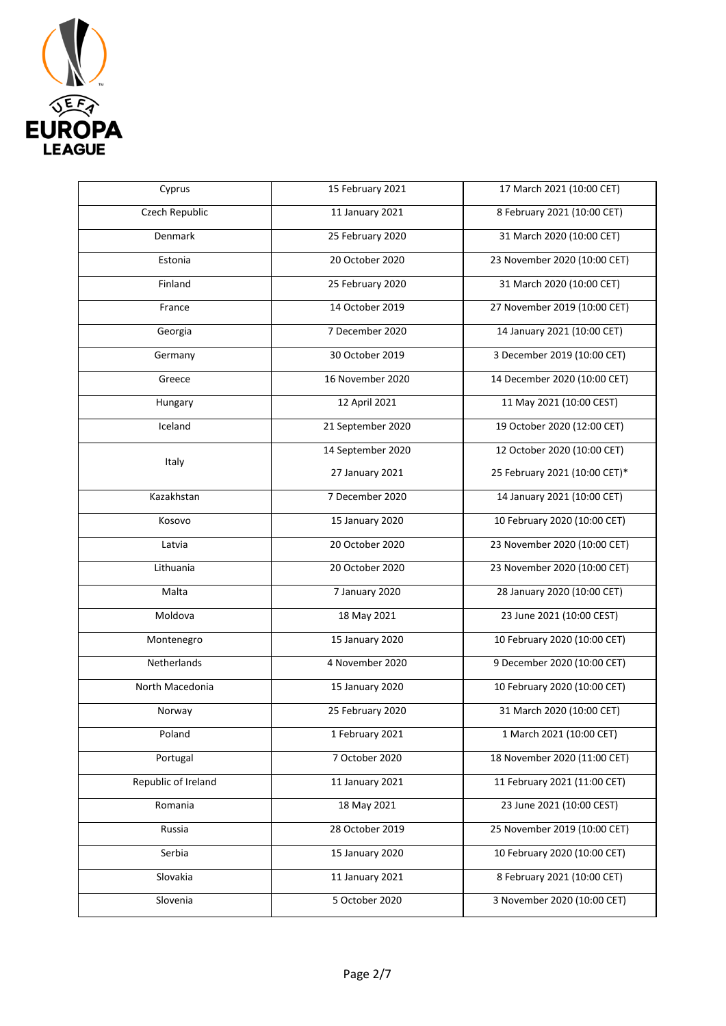

| Cyprus              | 15 February 2021  | 17 March 2021 (10:00 CET)     |
|---------------------|-------------------|-------------------------------|
| Czech Republic      | 11 January 2021   | 8 February 2021 (10:00 CET)   |
| Denmark             | 25 February 2020  | 31 March 2020 (10:00 CET)     |
| Estonia             | 20 October 2020   | 23 November 2020 (10:00 CET)  |
| Finland             | 25 February 2020  | 31 March 2020 (10:00 CET)     |
| France              | 14 October 2019   | 27 November 2019 (10:00 CET)  |
| Georgia             | 7 December 2020   | 14 January 2021 (10:00 CET)   |
| Germany             | 30 October 2019   | 3 December 2019 (10:00 CET)   |
| Greece              | 16 November 2020  | 14 December 2020 (10:00 CET)  |
| Hungary             | 12 April 2021     | 11 May 2021 (10:00 CEST)      |
| Iceland             | 21 September 2020 | 19 October 2020 (12:00 CET)   |
| Italy               | 14 September 2020 | 12 October 2020 (10:00 CET)   |
|                     | 27 January 2021   | 25 February 2021 (10:00 CET)* |
| Kazakhstan          | 7 December 2020   | 14 January 2021 (10:00 CET)   |
| Kosovo              | 15 January 2020   | 10 February 2020 (10:00 CET)  |
| Latvia              | 20 October 2020   | 23 November 2020 (10:00 CET)  |
| Lithuania           | 20 October 2020   | 23 November 2020 (10:00 CET)  |
| Malta               | 7 January 2020    | 28 January 2020 (10:00 CET)   |
| Moldova             | 18 May 2021       | 23 June 2021 (10:00 CEST)     |
| Montenegro          | 15 January 2020   | 10 February 2020 (10:00 CET)  |
| Netherlands         | 4 November 2020   | 9 December 2020 (10:00 CET)   |
| North Macedonia     | 15 January 2020   | 10 February 2020 (10:00 CET)  |
| Norway              | 25 February 2020  | 31 March 2020 (10:00 CET)     |
| Poland              | 1 February 2021   | 1 March 2021 (10:00 CET)      |
| Portugal            | 7 October 2020    | 18 November 2020 (11:00 CET)  |
| Republic of Ireland | 11 January 2021   | 11 February 2021 (11:00 CET)  |
| Romania             | 18 May 2021       | 23 June 2021 (10:00 CEST)     |
| Russia              | 28 October 2019   | 25 November 2019 (10:00 CET)  |
| Serbia              | 15 January 2020   | 10 February 2020 (10:00 CET)  |
| Slovakia            | 11 January 2021   | 8 February 2021 (10:00 CET)   |
| Slovenia            | 5 October 2020    | 3 November 2020 (10:00 CET)   |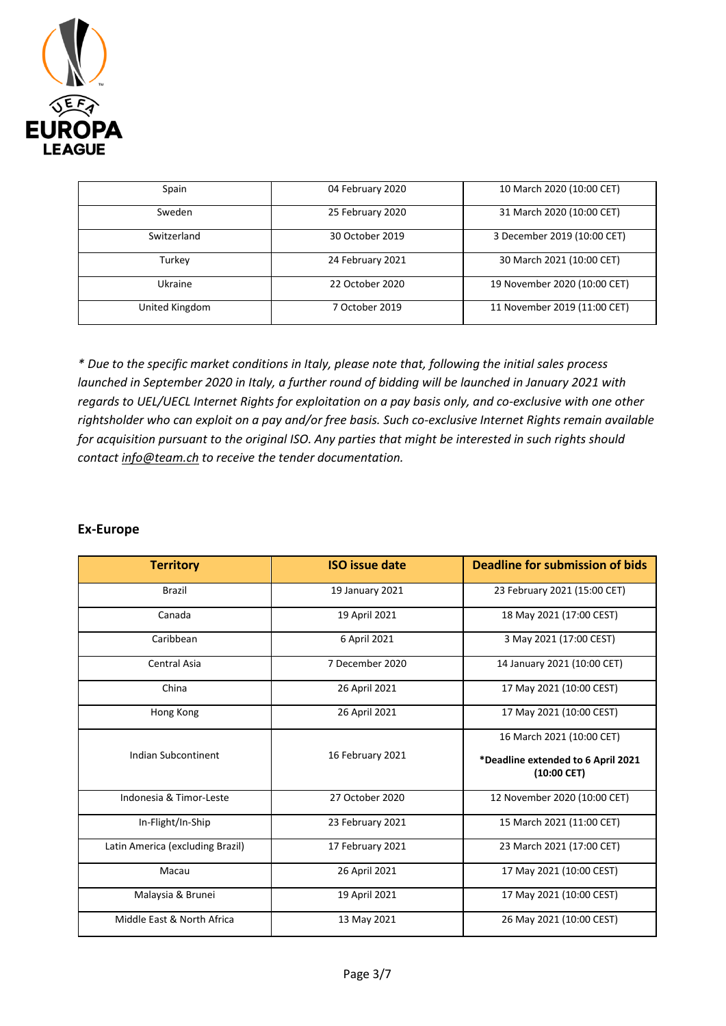

| Spain          | 04 February 2020 | 10 March 2020 (10:00 CET)    |
|----------------|------------------|------------------------------|
| Sweden         | 25 February 2020 | 31 March 2020 (10:00 CET)    |
| Switzerland    | 30 October 2019  | 3 December 2019 (10:00 CET)  |
| Turkey         | 24 February 2021 | 30 March 2021 (10:00 CET)    |
| <b>Ukraine</b> | 22 October 2020  | 19 November 2020 (10:00 CET) |
| United Kingdom | 7 October 2019   | 11 November 2019 (11:00 CET) |

*\* Due to the specific market conditions in Italy, please note that, following the initial sales process launched in September 2020 in Italy, a further round of bidding will be launched in January 2021 with regards to UEL/UECL Internet Rights for exploitation on a pay basis only, and co-exclusive with one other rightsholder who can exploit on a pay and/or free basis. Such co-exclusive Internet Rights remain available for acquisition pursuant to the original ISO. Any parties that might be interested in such rights should contact [info@team.ch](mailto:info@team.ch) to receive the tender documentation.*

#### **Ex-Europe**

| <b>Territory</b>                 | <b>ISO</b> issue date | <b>Deadline for submission of bids</b>                                           |
|----------------------------------|-----------------------|----------------------------------------------------------------------------------|
| <b>Brazil</b>                    | 19 January 2021       | 23 February 2021 (15:00 CET)                                                     |
| Canada                           | 19 April 2021         | 18 May 2021 (17:00 CEST)                                                         |
| Caribbean                        | 6 April 2021          | 3 May 2021 (17:00 CEST)                                                          |
| Central Asia                     | 7 December 2020       | 14 January 2021 (10:00 CET)                                                      |
| China                            | 26 April 2021         | 17 May 2021 (10:00 CEST)                                                         |
| Hong Kong                        | 26 April 2021         | 17 May 2021 (10:00 CEST)                                                         |
| Indian Subcontinent              | 16 February 2021      | 16 March 2021 (10:00 CET)<br>*Deadline extended to 6 April 2021<br>$(10:00$ CET) |
| Indonesia & Timor-Leste          | 27 October 2020       | 12 November 2020 (10:00 CET)                                                     |
| In-Flight/In-Ship                | 23 February 2021      | 15 March 2021 (11:00 CET)                                                        |
| Latin America (excluding Brazil) | 17 February 2021      | 23 March 2021 (17:00 CET)                                                        |
| Macau                            | 26 April 2021         | 17 May 2021 (10:00 CEST)                                                         |
| Malaysia & Brunei                | 19 April 2021         | 17 May 2021 (10:00 CEST)                                                         |
| Middle East & North Africa       | 13 May 2021           | 26 May 2021 (10:00 CEST)                                                         |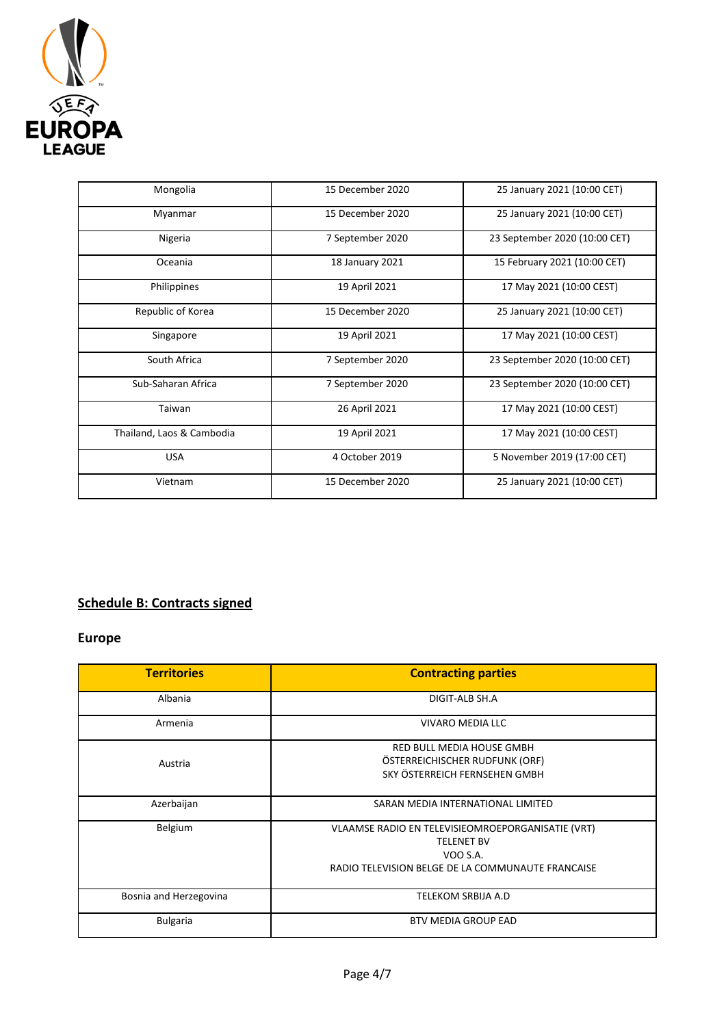

| Mongolia                  | 15 December 2020 | 25 January 2021 (10:00 CET)   |
|---------------------------|------------------|-------------------------------|
| Myanmar                   | 15 December 2020 | 25 January 2021 (10:00 CET)   |
| Nigeria                   | 7 September 2020 | 23 September 2020 (10:00 CET) |
| Oceania                   | 18 January 2021  | 15 February 2021 (10:00 CET)  |
| Philippines               | 19 April 2021    | 17 May 2021 (10:00 CEST)      |
| Republic of Korea         | 15 December 2020 | 25 January 2021 (10:00 CET)   |
| Singapore                 | 19 April 2021    | 17 May 2021 (10:00 CEST)      |
| South Africa              | 7 September 2020 | 23 September 2020 (10:00 CET) |
| Sub-Saharan Africa        | 7 September 2020 | 23 September 2020 (10:00 CET) |
| Taiwan                    | 26 April 2021    | 17 May 2021 (10:00 CEST)      |
| Thailand, Laos & Cambodia | 19 April 2021    | 17 May 2021 (10:00 CEST)      |
| <b>USA</b>                | 4 October 2019   | 5 November 2019 (17:00 CET)   |
| Vietnam                   | 15 December 2020 | 25 January 2021 (10:00 CET)   |

# **Schedule B: Contracts signed**

# **Europe**

| <b>Territories</b>     | <b>Contracting parties</b>                                                                                                              |
|------------------------|-----------------------------------------------------------------------------------------------------------------------------------------|
| Albania                | DIGIT-ALB SH.A                                                                                                                          |
| Armenia                | VIVARO MEDIA LLC                                                                                                                        |
| Austria                | <b>RED BULL MEDIA HOUSE GMBH</b><br>ÖSTERREICHISCHER RUDFUNK (ORF)<br>SKY ÖSTERREICH FERNSEHEN GMBH                                     |
| Azerbaijan             | SARAN MEDIA INTERNATIONAL LIMITED                                                                                                       |
| Belgium                | VLAAMSE RADIO EN TELEVISIEOMROEPORGANISATIE (VRT)<br><b>TELENET BV</b><br>VOO S.A.<br>RADIO TELEVISION BELGE DE LA COMMUNAUTE FRANCAISE |
| Bosnia and Herzegovina | <b>TELEKOM SRBIJA A.D</b>                                                                                                               |
| <b>Bulgaria</b>        | <b>BTV MEDIA GROUP EAD</b>                                                                                                              |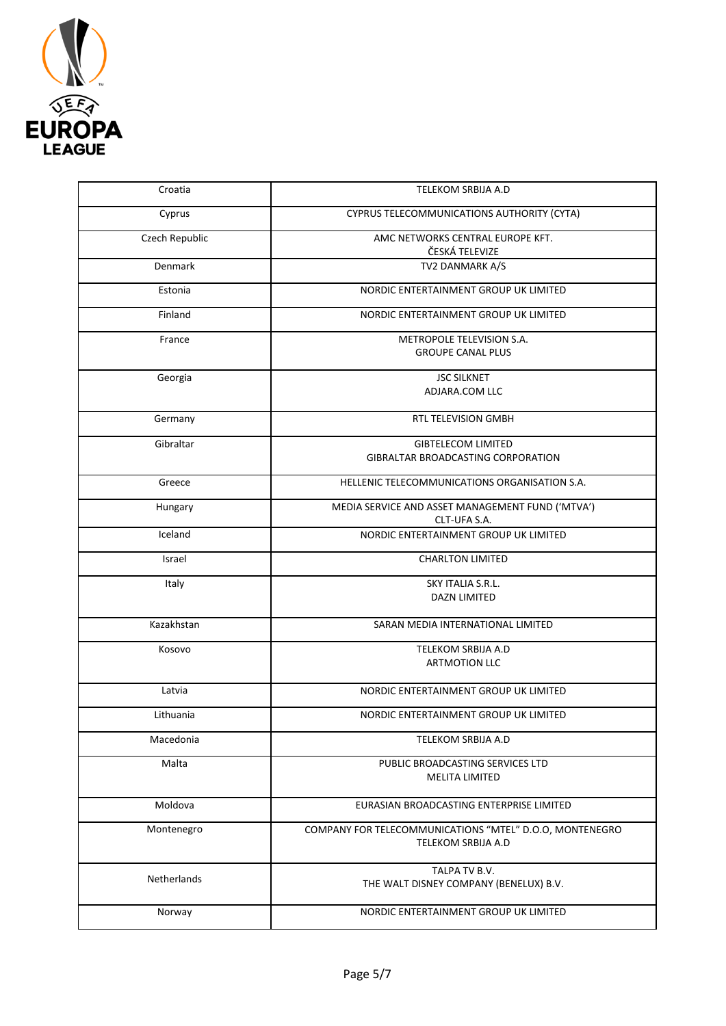

| Croatia        | TELEKOM SRBIJA A.D                                                            |
|----------------|-------------------------------------------------------------------------------|
| Cyprus         | CYPRUS TELECOMMUNICATIONS AUTHORITY (CYTA)                                    |
| Czech Republic | AMC NETWORKS CENTRAL EUROPE KFT.<br>ČESKÁ TELEVIZE                            |
| Denmark        | TV2 DANMARK A/S                                                               |
| Estonia        | NORDIC ENTERTAINMENT GROUP UK LIMITED                                         |
| Finland        | NORDIC ENTERTAINMENT GROUP UK LIMITED                                         |
| France         | METROPOLE TELEVISION S.A.<br><b>GROUPE CANAL PLUS</b>                         |
| Georgia        | <b>JSC SILKNET</b><br>ADJARA.COM LLC                                          |
| Germany        | RTL TELEVISION GMBH                                                           |
| Gibraltar      | <b>GIBTELECOM LIMITED</b><br>GIBRALTAR BROADCASTING CORPORATION               |
| Greece         | HELLENIC TELECOMMUNICATIONS ORGANISATION S.A.                                 |
| Hungary        | MEDIA SERVICE AND ASSET MANAGEMENT FUND ('MTVA')<br>CLT-UFA S.A.              |
| Iceland        | NORDIC ENTERTAINMENT GROUP UK LIMITED                                         |
| Israel         | <b>CHARLTON LIMITED</b>                                                       |
| Italy          | SKY ITALIA S.R.L.<br><b>DAZN LIMITED</b>                                      |
| Kazakhstan     | SARAN MEDIA INTERNATIONAL LIMITED                                             |
| Kosovo         | TELEKOM SRBIJA A.D<br><b>ARTMOTION LLC</b>                                    |
| Latvia         | NORDIC ENTERTAINMENT GROUP UK LIMITED                                         |
| Lithuania      | NORDIC ENTERTAINMENT GROUP UK LIMITED                                         |
| Macedonia      | TELEKOM SRBIJA A.D                                                            |
| Malta          | PUBLIC BROADCASTING SERVICES LTD<br><b>MELITA LIMITED</b>                     |
| Moldova        | EURASIAN BROADCASTING ENTERPRISE LIMITED                                      |
| Montenegro     | COMPANY FOR TELECOMMUNICATIONS "MTEL" D.O.O, MONTENEGRO<br>TELEKOM SRBIJA A.D |
| Netherlands    | TALPA TV B.V.<br>THE WALT DISNEY COMPANY (BENELUX) B.V.                       |
| Norway         | NORDIC ENTERTAINMENT GROUP UK LIMITED                                         |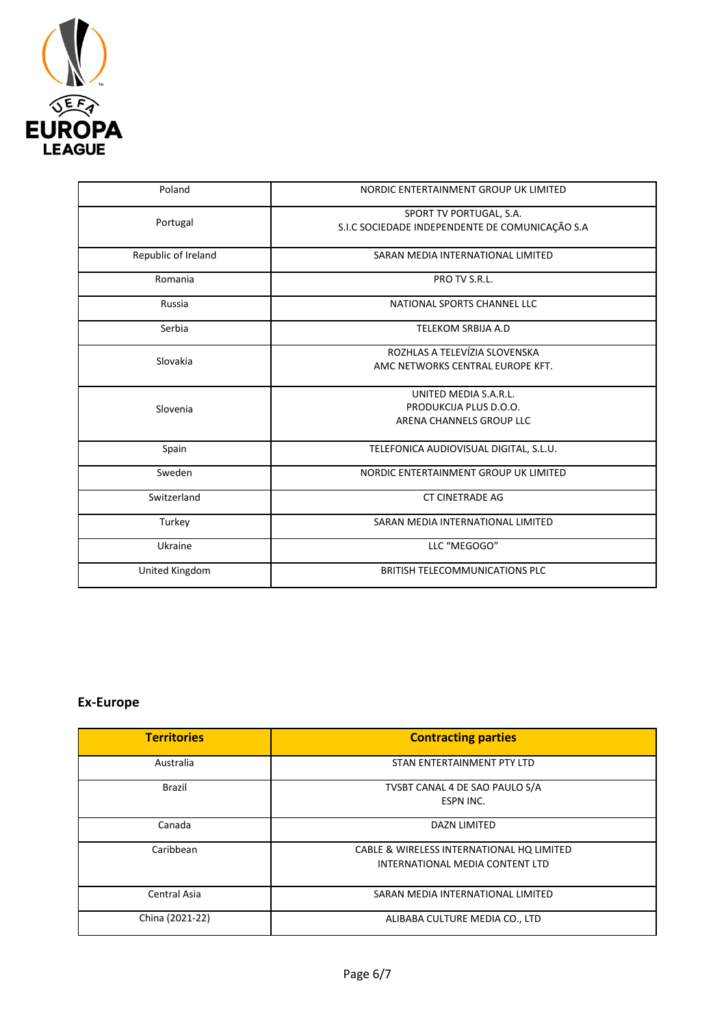

| Poland              | NORDIC ENTERTAINMENT GROUP UK LIMITED                                       |  |
|---------------------|-----------------------------------------------------------------------------|--|
| Portugal            | SPORT TV PORTUGAL, S.A.<br>S.I.C SOCIEDADE INDEPENDENTE DE COMUNICAÇÃO S.A  |  |
| Republic of Ireland | SARAN MEDIA INTERNATIONAL LIMITED                                           |  |
| Romania             | PRO TV S.R.L.                                                               |  |
| Russia              | NATIONAL SPORTS CHANNEL LLC                                                 |  |
| Serbia              | <b>TELEKOM SRBIJA A.D</b>                                                   |  |
| Slovakia            | ROZHLAS A TELEVÍZIA SLOVENSKA<br>AMC NETWORKS CENTRAL EUROPE KFT.           |  |
| Slovenia            | UNITED MEDIA S.A.R.L.<br>PRODUKCIJA PLUS D.O.O.<br>ARENA CHANNELS GROUP LLC |  |
| Spain               | TELEFONICA AUDIOVISUAL DIGITAL, S.L.U.                                      |  |
| Sweden              | NORDIC ENTERTAINMENT GROUP UK LIMITED                                       |  |
| Switzerland         | <b>CT CINETRADE AG</b>                                                      |  |
| Turkey              | SARAN MEDIA INTERNATIONAL LIMITED                                           |  |
| Ukraine             | LLC "MEGOGO"                                                                |  |
| United Kingdom      | <b>BRITISH TELECOMMUNICATIONS PLC</b>                                       |  |

# **Ex-Europe**

| <b>Territories</b> | <b>Contracting parties</b>                                                   |
|--------------------|------------------------------------------------------------------------------|
| Australia          | STAN ENTERTAINMENT PTY LTD                                                   |
| Brazil             | TVSBT CANAL 4 DE SAO PAULO S/A<br>ESPN INC.                                  |
| Canada             | <b>DAZN LIMITED</b>                                                          |
| Caribbean          | CABLE & WIRELESS INTERNATIONAL HQ LIMITED<br>INTERNATIONAL MEDIA CONTENT LTD |
| Central Asia       | SARAN MEDIA INTERNATIONAL LIMITED                                            |
| China (2021-22)    | ALIBABA CULTURE MEDIA CO., LTD                                               |